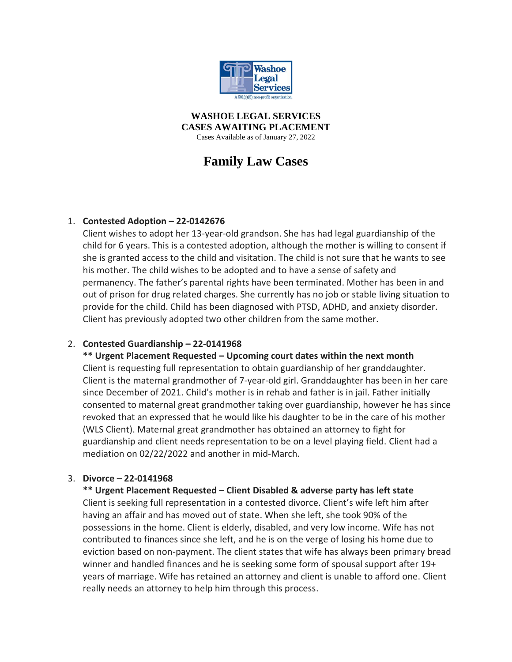

**WASHOE LEGAL SERVICES CASES AWAITING PLACEMENT** Cases Available as of January 27, 2022

# **Family Law Cases**

## 1. **Contested Adoption – 22-0142676**

Client wishes to adopt her 13-year-old grandson. She has had legal guardianship of the child for 6 years. This is a contested adoption, although the mother is willing to consent if she is granted access to the child and visitation. The child is not sure that he wants to see his mother. The child wishes to be adopted and to have a sense of safety and permanency. The father's parental rights have been terminated. Mother has been in and out of prison for drug related charges. She currently has no job or stable living situation to provide for the child. Child has been diagnosed with PTSD, ADHD, and anxiety disorder. Client has previously adopted two other children from the same mother.

## 2. **Contested Guardianship – 22-0141968**

**\*\* Urgent Placement Requested – Upcoming court dates within the next month** Client is requesting full representation to obtain guardianship of her granddaughter. Client is the maternal grandmother of 7-year-old girl. Granddaughter has been in her care since December of 2021. Child's mother is in rehab and father is in jail. Father initially consented to maternal great grandmother taking over guardianship, however he has since revoked that an expressed that he would like his daughter to be in the care of his mother (WLS Client). Maternal great grandmother has obtained an attorney to fight for guardianship and client needs representation to be on a level playing field. Client had a mediation on 02/22/2022 and another in mid-March.

## 3. **Divorce – 22-0141968**

## **\*\* Urgent Placement Requested – Client Disabled & adverse party has left state**

Client is seeking full representation in a contested divorce. Client's wife left him after having an affair and has moved out of state. When she left, she took 90% of the possessions in the home. Client is elderly, disabled, and very low income. Wife has not contributed to finances since she left, and he is on the verge of losing his home due to eviction based on non-payment. The client states that wife has always been primary bread winner and handled finances and he is seeking some form of spousal support after 19+ years of marriage. Wife has retained an attorney and client is unable to afford one. Client really needs an attorney to help him through this process.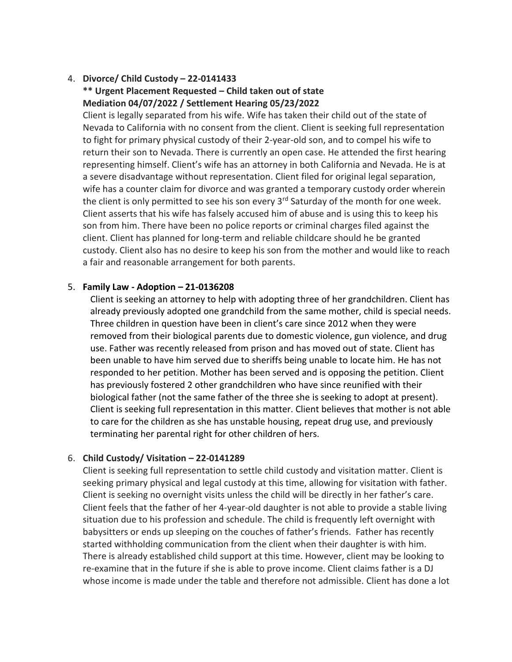## 4. **Divorce/ Child Custody – 22-0141433 \*\* Urgent Placement Requested – Child taken out of state Mediation 04/07/2022 / Settlement Hearing 05/23/2022**

Client is legally separated from his wife. Wife has taken their child out of the state of Nevada to California with no consent from the client. Client is seeking full representation to fight for primary physical custody of their 2-year-old son, and to compel his wife to return their son to Nevada. There is currently an open case. He attended the first hearing representing himself. Client's wife has an attorney in both California and Nevada. He is at a severe disadvantage without representation. Client filed for original legal separation, wife has a counter claim for divorce and was granted a temporary custody order wherein the client is only permitted to see his son every 3<sup>rd</sup> Saturday of the month for one week. Client asserts that his wife has falsely accused him of abuse and is using this to keep his son from him. There have been no police reports or criminal charges filed against the client. Client has planned for long-term and reliable childcare should he be granted custody. Client also has no desire to keep his son from the mother and would like to reach a fair and reasonable arrangement for both parents.

#### 5. **Family Law - Adoption – 21-0136208**

Client is seeking an attorney to help with adopting three of her grandchildren. Client has already previously adopted one grandchild from the same mother, child is special needs. Three children in question have been in client's care since 2012 when they were removed from their biological parents due to domestic violence, gun violence, and drug use. Father was recently released from prison and has moved out of state. Client has been unable to have him served due to sheriffs being unable to locate him. He has not responded to her petition. Mother has been served and is opposing the petition. Client has previously fostered 2 other grandchildren who have since reunified with their biological father (not the same father of the three she is seeking to adopt at present). Client is seeking full representation in this matter. Client believes that mother is not able to care for the children as she has unstable housing, repeat drug use, and previously terminating her parental right for other children of hers.

#### 6. **Child Custody/ Visitation – 22-0141289**

Client is seeking full representation to settle child custody and visitation matter. Client is seeking primary physical and legal custody at this time, allowing for visitation with father. Client is seeking no overnight visits unless the child will be directly in her father's care. Client feels that the father of her 4-year-old daughter is not able to provide a stable living situation due to his profession and schedule. The child is frequently left overnight with babysitters or ends up sleeping on the couches of father's friends. Father has recently started withholding communication from the client when their daughter is with him. There is already established child support at this time. However, client may be looking to re-examine that in the future if she is able to prove income. Client claims father is a DJ whose income is made under the table and therefore not admissible. Client has done a lot